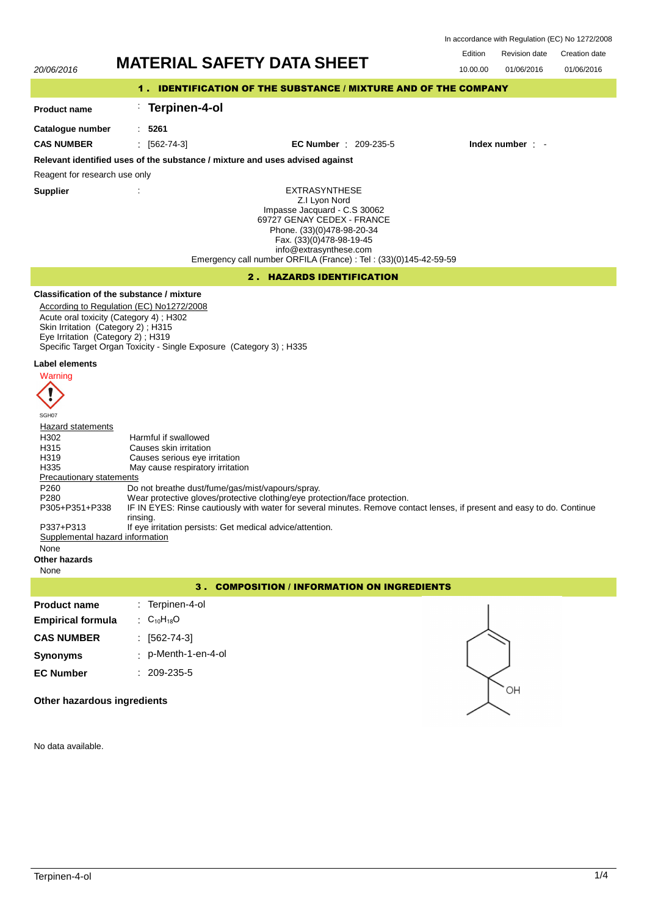|                                                                                                                                                                                                                                                                                                                                                                    | <b>MATERIAL SAFETY DATA SHEET</b>                                                                                                                                                                                                                                                                                                                                                                                                                                                                                                                                                                                         | Edition  | <b>Revision date</b> | Creation date |
|--------------------------------------------------------------------------------------------------------------------------------------------------------------------------------------------------------------------------------------------------------------------------------------------------------------------------------------------------------------------|---------------------------------------------------------------------------------------------------------------------------------------------------------------------------------------------------------------------------------------------------------------------------------------------------------------------------------------------------------------------------------------------------------------------------------------------------------------------------------------------------------------------------------------------------------------------------------------------------------------------------|----------|----------------------|---------------|
| 20/06/2016                                                                                                                                                                                                                                                                                                                                                         |                                                                                                                                                                                                                                                                                                                                                                                                                                                                                                                                                                                                                           | 10.00.00 | 01/06/2016           | 01/06/2016    |
|                                                                                                                                                                                                                                                                                                                                                                    | 1. IDENTIFICATION OF THE SUBSTANCE / MIXTURE AND OF THE COMPANY                                                                                                                                                                                                                                                                                                                                                                                                                                                                                                                                                           |          |                      |               |
| <b>Product name</b>                                                                                                                                                                                                                                                                                                                                                | Terpinen-4-ol                                                                                                                                                                                                                                                                                                                                                                                                                                                                                                                                                                                                             |          |                      |               |
| Catalogue number                                                                                                                                                                                                                                                                                                                                                   | .5261                                                                                                                                                                                                                                                                                                                                                                                                                                                                                                                                                                                                                     |          |                      |               |
| <b>CAS NUMBER</b>                                                                                                                                                                                                                                                                                                                                                  | $: [562-74-3]$<br><b>EC Number</b> : $209-235-5$                                                                                                                                                                                                                                                                                                                                                                                                                                                                                                                                                                          |          | Index number $\cdot$ |               |
|                                                                                                                                                                                                                                                                                                                                                                    | Relevant identified uses of the substance / mixture and uses advised against                                                                                                                                                                                                                                                                                                                                                                                                                                                                                                                                              |          |                      |               |
| Reagent for research use only                                                                                                                                                                                                                                                                                                                                      |                                                                                                                                                                                                                                                                                                                                                                                                                                                                                                                                                                                                                           |          |                      |               |
| <b>Supplier</b>                                                                                                                                                                                                                                                                                                                                                    | <b>EXTRASYNTHESE</b><br>Z.I Lyon Nord<br>Impasse Jacquard - C.S 30062<br>69727 GENAY CEDEX - FRANCE<br>Phone. (33)(0)478-98-20-34<br>Fax. (33)(0)478-98-19-45<br>info@extrasynthese.com<br>Emergency call number ORFILA (France) : Tel : (33)(0)145-42-59-59                                                                                                                                                                                                                                                                                                                                                              |          |                      |               |
|                                                                                                                                                                                                                                                                                                                                                                    | <b>2. HAZARDS IDENTIFICATION</b>                                                                                                                                                                                                                                                                                                                                                                                                                                                                                                                                                                                          |          |                      |               |
| Acute oral toxicity (Category 4); H302<br>Skin Irritation (Category 2); H315<br>Eye Irritation (Category 2); H319<br>Label elements<br>Warning<br>SGH07<br>Hazard statements<br>H302<br>H315<br>H319<br>H335<br><b>Precautionary statements</b><br>P260<br>P280<br>P305+P351+P338<br>P337+P313<br>Supplemental hazard information<br>None<br>Other hazards<br>None | Classification of the substance / mixture<br>According to Regulation (EC) No1272/2008<br>Specific Target Organ Toxicity - Single Exposure (Category 3); H335<br>Harmful if swallowed<br>Causes skin irritation<br>Causes serious eye irritation<br>May cause respiratory irritation<br>Do not breathe dust/fume/gas/mist/vapours/spray.<br>Wear protective gloves/protective clothing/eye protection/face protection.<br>IF IN EYES: Rinse cautiously with water for several minutes. Remove contact lenses, if present and easy to do. Continue<br>rinsing.<br>If eye irritation persists: Get medical advice/attention. |          |                      |               |
|                                                                                                                                                                                                                                                                                                                                                                    | <b>COMPOSITION / INFORMATION ON INGREDIENTS</b><br>з.                                                                                                                                                                                                                                                                                                                                                                                                                                                                                                                                                                     |          |                      |               |
| <b>Product name</b>                                                                                                                                                                                                                                                                                                                                                | : Terpinen-4-ol                                                                                                                                                                                                                                                                                                                                                                                                                                                                                                                                                                                                           |          |                      |               |
| <b>Empirical formula</b>                                                                                                                                                                                                                                                                                                                                           | : $C_{10}H_{18}O$                                                                                                                                                                                                                                                                                                                                                                                                                                                                                                                                                                                                         |          |                      |               |
| <b>CAS NUMBER</b>                                                                                                                                                                                                                                                                                                                                                  | $[562 - 74 - 3]$                                                                                                                                                                                                                                                                                                                                                                                                                                                                                                                                                                                                          |          |                      |               |
| <b>Synonyms</b>                                                                                                                                                                                                                                                                                                                                                    | p-Menth-1-en-4-ol                                                                                                                                                                                                                                                                                                                                                                                                                                                                                                                                                                                                         |          |                      |               |
| <b>EC Number</b><br>Other hazardous ingredients                                                                                                                                                                                                                                                                                                                    | $: 209 - 235 - 5$                                                                                                                                                                                                                                                                                                                                                                                                                                                                                                                                                                                                         |          | OН                   |               |
|                                                                                                                                                                                                                                                                                                                                                                    |                                                                                                                                                                                                                                                                                                                                                                                                                                                                                                                                                                                                                           |          |                      |               |

No data available.

In accordance with Regulation (EC) No 1272/2008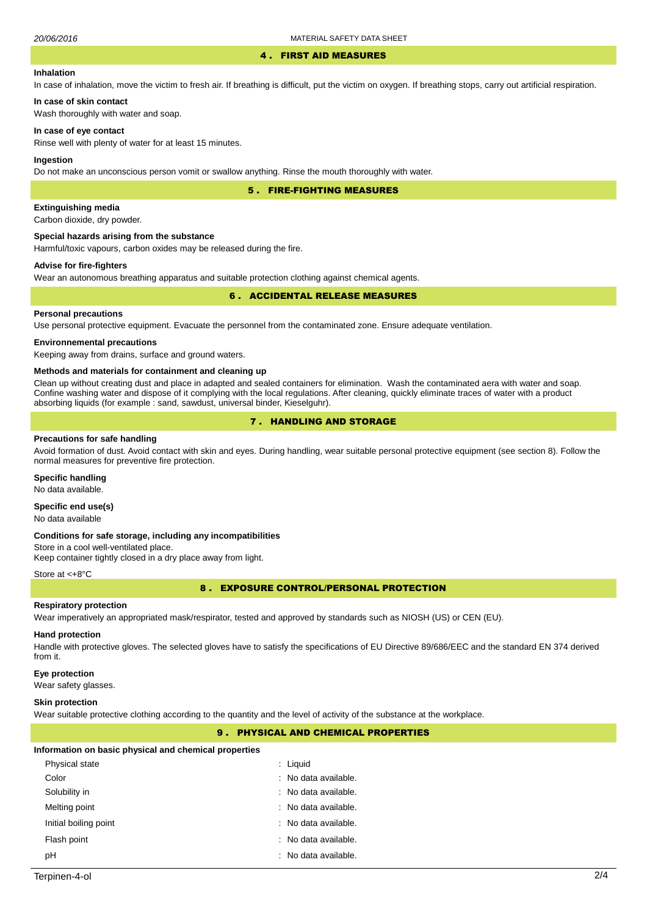#### 4 . FIRST AID MEASURES

# **Inhalation**

In case of inhalation, move the victim to fresh air. If breathing is difficult, put the victim on oxygen. If breathing stops, carry out artificial respiration.

# **In case of skin contact**

Wash thoroughly with water and soap.

# **In case of eye contact**

Rinse well with plenty of water for at least 15 minutes.

# **Ingestion**

Do not make an unconscious person vomit or swallow anything. Rinse the mouth thoroughly with water.

5 . FIRE-FIGHTING MEASURES

# **Extinguishing media**

Carbon dioxide, dry powder.

#### **Special hazards arising from the substance**

Harmful/toxic vapours, carbon oxides may be released during the fire.

# **Advise for fire-fighters**

Wear an autonomous breathing apparatus and suitable protection clothing against chemical agents.

# 6 . ACCIDENTAL RELEASE MEASURES

# **Personal precautions**

Use personal protective equipment. Evacuate the personnel from the contaminated zone. Ensure adequate ventilation.

# **Environnemental precautions**

Keeping away from drains, surface and ground waters.

#### **Methods and materials for containment and cleaning up**

Clean up without creating dust and place in adapted and sealed containers for elimination. Wash the contaminated aera with water and soap. Confine washing water and dispose of it complying with the local regulations. After cleaning, quickly eliminate traces of water with a product absorbing liquids (for example : sand, sawdust, universal binder, Kieselguhr).

# 7 . HANDLING AND STORAGE

### **Precautions for safe handling**

Avoid formation of dust. Avoid contact with skin and eyes. During handling, wear suitable personal protective equipment (see section 8). Follow the normal measures for preventive fire protection.

### **Specific handling**

No data available.

# **Specific end use(s)**

No data available

### **Conditions for safe storage, including any incompatibilities**

Store in a cool well-ventilated place. Keep container tightly closed in a dry place away from light.

#### Store at <+8°C

8 . EXPOSURE CONTROL/PERSONAL PROTECTION

#### **Respiratory protection**

Wear imperatively an appropriated mask/respirator, tested and approved by standards such as NIOSH (US) or CEN (EU).

### **Hand protection**

Handle with protective gloves. The selected gloves have to satisfy the specifications of EU Directive 89/686/EEC and the standard EN 374 derived from it.

### **Eye protection**

Wear safety glasses.

### **Skin protection**

Wear suitable protective clothing according to the quantity and the level of activity of the substance at the workplace.

# 9 . PHYSICAL AND CHEMICAL PROPERTIES

#### **Information on basic physical and chemical properties**

| Physical state        | $:$ Liquid           |
|-----------------------|----------------------|
| Color                 | : No data available. |
| Solubility in         | : No data available. |
| Melting point         | : No data available. |
| Initial boiling point | : No data available. |
| Flash point           | : No data available. |
| pH                    | : No data available. |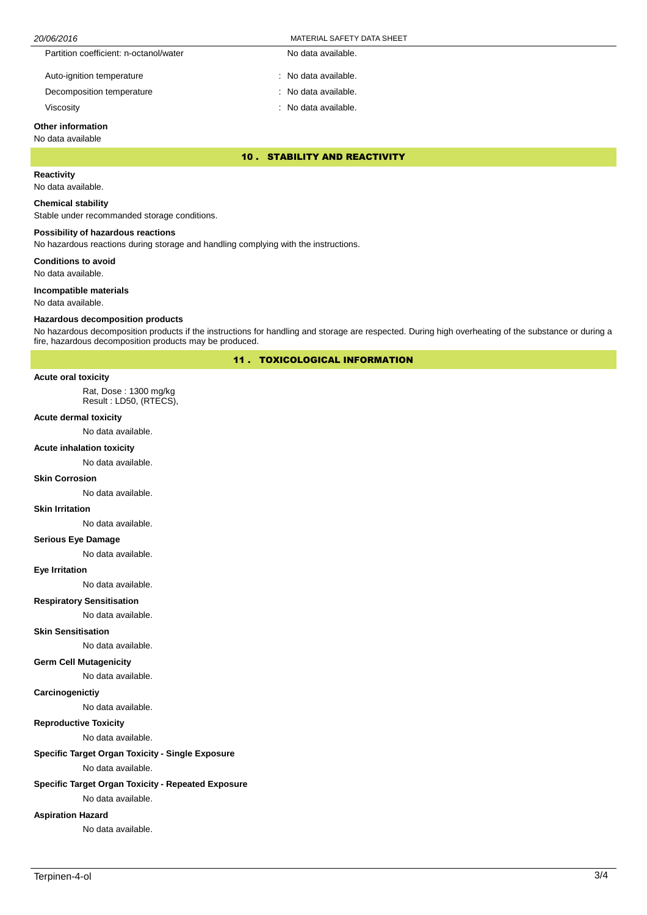# 20/06/2016 MATERIAL SAFETY DATA SHEET

| Partition coefficient: n-octanol/water | No data available.   |
|----------------------------------------|----------------------|
| Auto-ignition temperature              | : No data available. |

Decomposition temperature No data available.

Viscosity **in the contract of the contract of the contract of the contract of the contract of the contract of the contract of the contract of the contract of the contract of the contract of the contract of the contract of** 

# **Other information**

### No data available

10 . STABILITY AND REACTIVITY

# **Reactivity**

No data available.

# **Chemical stability**

Stable under recommanded storage conditions.

# **Possibility of hazardous reactions**

No hazardous reactions during storage and handling complying with the instructions.

**Conditions to avoid**

No data available.

# **Incompatible materials**

No data available.

## **Hazardous decomposition products**

No hazardous decomposition products if the instructions for handling and storage are respected. During high overheating of the substance or during a fire, hazardous decomposition products may be produced.

11 . TOXICOLOGICAL INFORMATION

#### **Acute oral toxicity**

Rat, Dose : 1300 mg/kg Result : LD50, (RTECS),

### **Acute dermal toxicity**

No data available.

#### **Acute inhalation toxicity**

No data available.

#### **Skin Corrosion**

No data available.

### **Skin Irritation**

No data available.

# **Serious Eye Damage**

No data available.

### **Eye Irritation**

No data available.

# **Respiratory Sensitisation**

No data available.

# **Skin Sensitisation**

No data available.

# **Germ Cell Mutagenicity**

No data available.

#### **Carcinogenictiy**

No data available.

# **Reproductive Toxicity**

No data available.

# **Specific Target Organ Toxicity - Single Exposure**

No data available.

# **Specific Target Organ Toxicity - Repeated Exposure**

No data available.

# **Aspiration Hazard**

No data available.